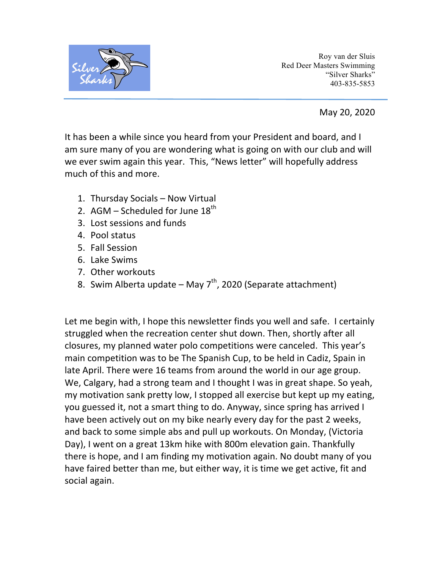

Roy van der Sluis Red Deer Masters Swimming "Silver Sharks" 403-835-5853

May 20, 2020

It has been a while since you heard from your President and board, and I am sure many of you are wondering what is going on with our club and will we ever swim again this year. This, "News letter" will hopefully address much of this and more.

- 1. Thursday Socials Now Virtual
- 2. AGM Scheduled for June  $18^{th}$
- 3. Lost sessions and funds
- 4. Pool status
- 5. Fall Session
- 6. Lake Swims
- 7. Other workouts
- 8. Swim Alberta update May  $7<sup>th</sup>$ , 2020 (Separate attachment)

Let me begin with, I hope this newsletter finds you well and safe. I certainly struggled when the recreation center shut down. Then, shortly after all closures, my planned water polo competitions were canceled. This year's main competition was to be The Spanish Cup, to be held in Cadiz, Spain in late April. There were 16 teams from around the world in our age group. We, Calgary, had a strong team and I thought I was in great shape. So yeah, my motivation sank pretty low, I stopped all exercise but kept up my eating, you guessed it, not a smart thing to do. Anyway, since spring has arrived I have been actively out on my bike nearly every day for the past 2 weeks, and back to some simple abs and pull up workouts. On Monday, (Victoria Day), I went on a great 13km hike with 800m elevation gain. Thankfully there is hope, and I am finding my motivation again. No doubt many of you have faired better than me, but either way, it is time we get active, fit and social again.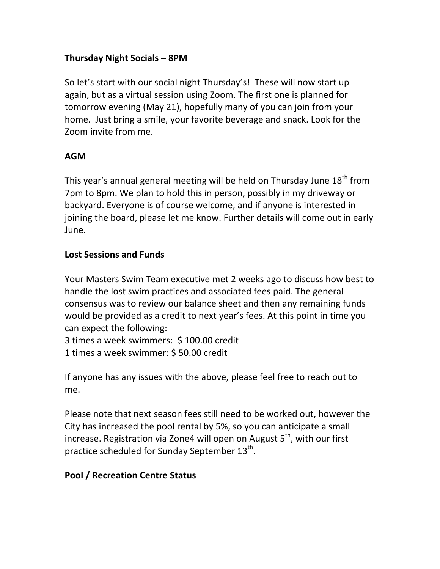# **Thursday Night Socials – 8PM**

So let's start with our social night Thursday's! These will now start up again, but as a virtual session using Zoom. The first one is planned for tomorrow evening (May 21), hopefully many of you can join from your home. Just bring a smile, your favorite beverage and snack. Look for the Zoom invite from me.

### **AGM**

This year's annual general meeting will be held on Thursday June  $18<sup>th</sup>$  from 7pm to 8pm. We plan to hold this in person, possibly in my driveway or backyard. Everyone is of course welcome, and if anyone is interested in joining the board, please let me know. Further details will come out in early June. 

### **Lost Sessions and Funds**

Your Masters Swim Team executive met 2 weeks ago to discuss how best to handle the lost swim practices and associated fees paid. The general consensus was to review our balance sheet and then any remaining funds would be provided as a credit to next year's fees. At this point in time you can expect the following:

3 times a week swimmers: \$100.00 credit

1 times a week swimmer: \$ 50.00 credit

If anyone has any issues with the above, please feel free to reach out to me.

Please note that next season fees still need to be worked out, however the City has increased the pool rental by 5%, so you can anticipate a small increase. Registration via Zone4 will open on August  $5<sup>th</sup>$ , with our first practice scheduled for Sunday September  $13^{th}$ .

# **Pool / Recreation Centre Status**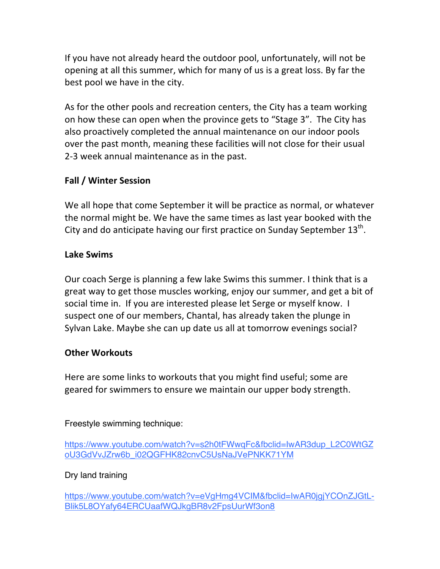If you have not already heard the outdoor pool, unfortunately, will not be opening at all this summer, which for many of us is a great loss. By far the best pool we have in the city.

As for the other pools and recreation centers, the City has a team working on how these can open when the province gets to "Stage 3". The City has also proactively completed the annual maintenance on our indoor pools over the past month, meaning these facilities will not close for their usual 2-3 week annual maintenance as in the past.

# **Fall / Winter Session**

We all hope that come September it will be practice as normal, or whatever the normal might be. We have the same times as last year booked with the City and do anticipate having our first practice on Sunday September  $13^{th}$ .

### **Lake Swims**

Our coach Serge is planning a few lake Swims this summer. I think that is a great way to get those muscles working, enjoy our summer, and get a bit of social time in. If you are interested please let Serge or myself know. I suspect one of our members, Chantal, has already taken the plunge in Sylvan Lake. Maybe she can up date us all at tomorrow evenings social?

# **Other Workouts**

Here are some links to workouts that you might find useful; some are geared for swimmers to ensure we maintain our upper body strength.

Freestyle swimming technique:

https://www.youtube.com/watch?v=s2h0tFWwqFc&fbclid=IwAR3dup\_L2C0WtGZ oU3GdVvJZrw6b\_i02QGFHK82cnvC5UsNaJVePNKK71YM

# Dry land training

https://www.youtube.com/watch?v=eVgHmg4VCIM&fbclid=IwAR0jgjYCOnZJGtL-Blik5L8OYafy64ERCUaafWQJkgBR8v2FpsUurWf3on8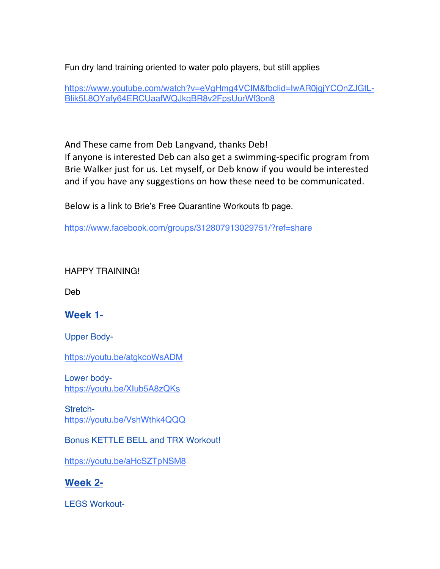Fun dry land training oriented to water polo players, but still applies

https://www.youtube.com/watch?v=eVgHmg4VCIM&fbclid=IwAR0jgjYCOnZJGtL-Blik5L8OYafy64ERCUaafWQJkgBR8v2FpsUurWf3on8

And These came from Deb Langvand, thanks Deb!

If anyone is interested Deb can also get a swimming-specific program from Brie Walker just for us. Let myself, or Deb know if you would be interested and if you have any suggestions on how these need to be communicated.

Below is a link to Brie's Free Quarantine Workouts fb page.

https://www.facebook.com/groups/312807913029751/?ref=share

HAPPY TRAINING!

Deb

# **Week 1-**

Upper Body-

https://youtu.be/atgkcoWsADM

Lower bodyhttps://youtu.be/XIub5A8zQKs

Stretchhttps://youtu.be/VshWthk4QQQ

Bonus KETTLE BELL and TRX Workout!

https://youtu.be/aHcSZTpNSM8

**Week 2-**

LEGS Workout-